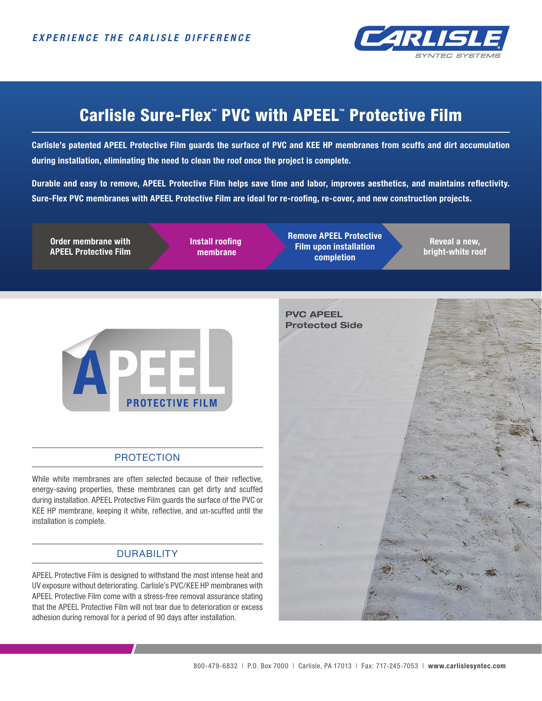

# Carlisle Sure-Flex™ PVC with APEEL™ Protective Film

**Carlisle's patented APEEL Protective Film guards the surface of PVC and KEE HP membranes from scuffs and dirt accumulation during installation, eliminating the need to clean the roof once the project is complete.** 

**Durable and easy to remove, APEEL Protective Film helps save time and labor, improves aesthetics, and maintains reflectivity. Sure-Flex PVC membranes with APEEL Protective Film are ideal for re-roofing, re-cover, and new construction projects.**

**Order membrane with APEEL Protective Film** **Install roofing membrane**

**Remove APEEL Protective Film upon installation completion**

**Reveal a new, bright-white roof**



# PROTECTION

While white membranes are often selected because of their reflective, energy-saving properties, these membranes can get dirty and scuffed during installation. APEEL Protective Film guards the surface of the PVC or KEE HP membrane, keeping it white, reflective, and un-scuffed until the installation is complete.

# **DURABILITY**

APEEL Protective Film is designed to withstand the most intense heat and UV exposure without deteriorating. Carlisle's PVC/KEE HP membranes with APEEL Protective Film come with a stress-free removal assurance stating that the APEEL Protective Film will not tear due to deterioration or excess adhesion during removal for a period of 90 days after installation.